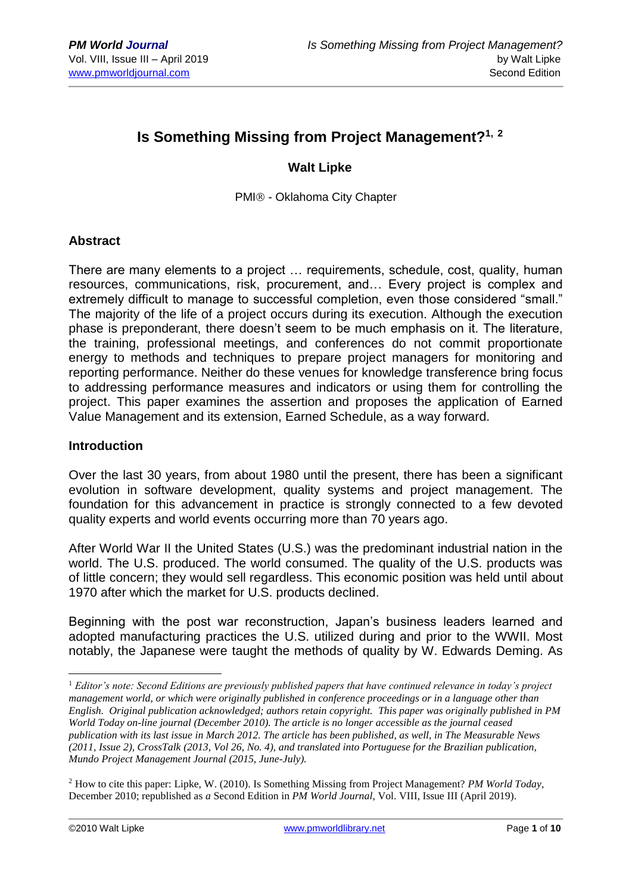# **Is Something Missing from Project Management?1, <sup>2</sup>**

## **Walt Lipke**

PMI® - Oklahoma City Chapter

#### **Abstract**

There are many elements to a project … requirements, schedule, cost, quality, human resources, communications, risk, procurement, and… Every project is complex and extremely difficult to manage to successful completion, even those considered "small." The majority of the life of a project occurs during its execution. Although the execution phase is preponderant, there doesn't seem to be much emphasis on it. The literature, the training, professional meetings, and conferences do not commit proportionate energy to methods and techniques to prepare project managers for monitoring and reporting performance. Neither do these venues for knowledge transference bring focus to addressing performance measures and indicators or using them for controlling the project. This paper examines the assertion and proposes the application of Earned Value Management and its extension, Earned Schedule, as a way forward.

#### **Introduction**

Over the last 30 years, from about 1980 until the present, there has been a significant evolution in software development, quality systems and project management. The foundation for this advancement in practice is strongly connected to a few devoted quality experts and world events occurring more than 70 years ago.

After World War II the United States (U.S.) was the predominant industrial nation in the world. The U.S. produced. The world consumed. The quality of the U.S. products was of little concern; they would sell regardless. This economic position was held until about 1970 after which the market for U.S. products declined.

Beginning with the post war reconstruction, Japan's business leaders learned and adopted manufacturing practices the U.S. utilized during and prior to the WWII. Most notably, the Japanese were taught the methods of quality by W. Edwards Deming. As

<sup>1</sup> *Editor's note: Second Editions are previously published papers that have continued relevance in today's project management world, or which were originally published in conference proceedings or in a language other than English. Original publication acknowledged; authors retain copyright. This paper was originally published in PM World Today on-line journal (December 2010). The article is no longer accessible as the journal ceased publication with its last issue in March 2012. The article has been published, as well, in The Measurable News (2011, Issue 2), CrossTalk (2013, Vol 26, No. 4), and translated into Portuguese for the Brazilian publication, Mundo Project Management Journal (2015, June-July).*

<sup>2</sup> How to cite this paper: Lipke, W. (2010). Is Something Missing from Project Management? *PM World Today,*  December 2010; republished as *a* Second Edition in *PM World Journal*, Vol. VIII, Issue III (April 2019).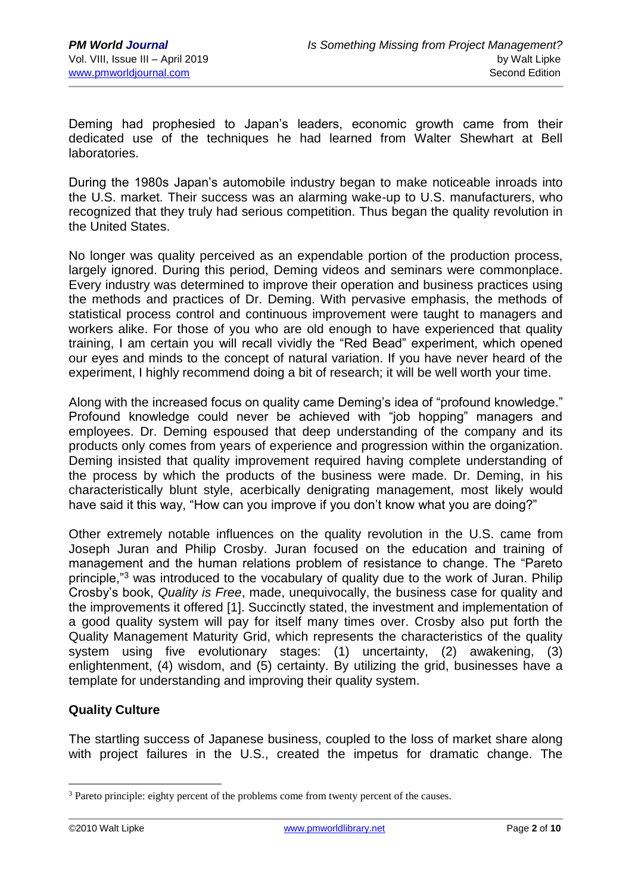Deming had prophesied to Japan's leaders, economic growth came from their dedicated use of the techniques he had learned from Walter Shewhart at Bell laboratories.

During the 1980s Japan's automobile industry began to make noticeable inroads into the U.S. market. Their success was an alarming wake-up to U.S. manufacturers, who recognized that they truly had serious competition. Thus began the quality revolution in the United States.

No longer was quality perceived as an expendable portion of the production process, largely ignored. During this period, Deming videos and seminars were commonplace. Every industry was determined to improve their operation and business practices using the methods and practices of Dr. Deming. With pervasive emphasis, the methods of statistical process control and continuous improvement were taught to managers and workers alike. For those of you who are old enough to have experienced that quality training, I am certain you will recall vividly the "Red Bead" experiment, which opened our eyes and minds to the concept of natural variation. If you have never heard of the experiment, I highly recommend doing a bit of research; it will be well worth your time.

Along with the increased focus on quality came Deming's idea of "profound knowledge." Profound knowledge could never be achieved with "job hopping" managers and employees. Dr. Deming espoused that deep understanding of the company and its products only comes from years of experience and progression within the organization. Deming insisted that quality improvement required having complete understanding of the process by which the products of the business were made. Dr. Deming, in his characteristically blunt style, acerbically denigrating management, most likely would have said it this way, "How can you improve if you don't know what you are doing?"

Other extremely notable influences on the quality revolution in the U.S. came from Joseph Juran and Philip Crosby. Juran focused on the education and training of management and the human relations problem of resistance to change. The "Pareto principle,"<sup>3</sup> was introduced to the vocabulary of quality due to the work of Juran. Philip Crosby's book, *Quality is Free*, made, unequivocally, the business case for quality and the improvements it offered [1]. Succinctly stated, the investment and implementation of a good quality system will pay for itself many times over. Crosby also put forth the Quality Management Maturity Grid, which represents the characteristics of the quality system using five evolutionary stages: (1) uncertainty, (2) awakening, (3) enlightenment, (4) wisdom, and (5) certainty. By utilizing the grid, businesses have a template for understanding and improving their quality system.

# **Quality Culture**

The startling success of Japanese business, coupled to the loss of market share along with project failures in the U.S., created the impetus for dramatic change. The

<sup>&</sup>lt;sup>3</sup> Pareto principle: eighty percent of the problems come from twenty percent of the causes.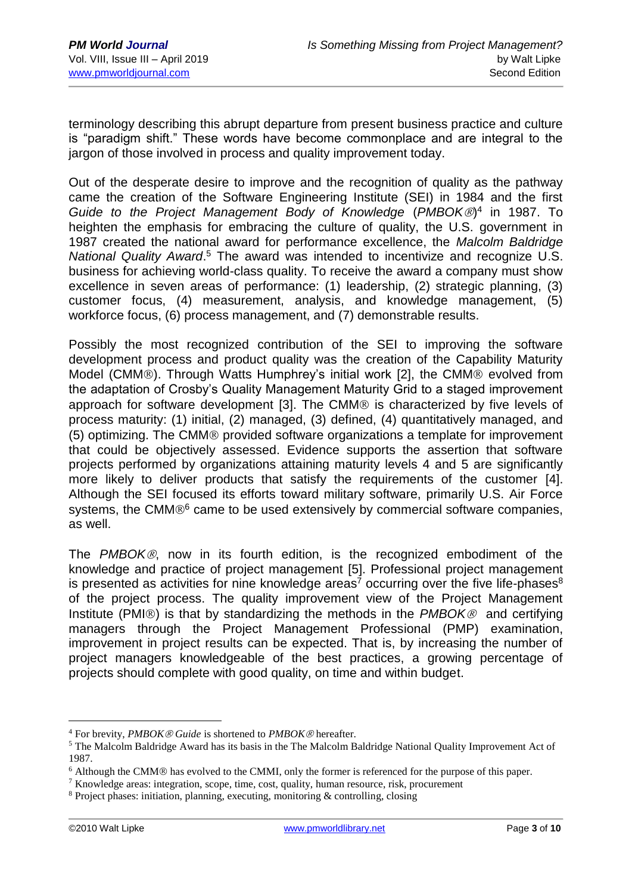terminology describing this abrupt departure from present business practice and culture is "paradigm shift." These words have become commonplace and are integral to the jargon of those involved in process and quality improvement today.

Out of the desperate desire to improve and the recognition of quality as the pathway came the creation of the Software Engineering Institute (SEI) in 1984 and the first *Guide to the Project Management Body of Knowledge* (*PMBOK*) 4 in 1987. To heighten the emphasis for embracing the culture of quality, the U.S. government in 1987 created the national award for performance excellence, the *Malcolm Baldridge*  National Quality Award.<sup>5</sup> The award was intended to incentivize and recognize U.S. business for achieving world-class quality. To receive the award a company must show excellence in seven areas of performance: (1) leadership, (2) strategic planning, (3) customer focus, (4) measurement, analysis, and knowledge management, (5) workforce focus, (6) process management, and (7) demonstrable results.

Possibly the most recognized contribution of the SEI to improving the software development process and product quality was the creation of the Capability Maturity Model (CMM®). Through Watts Humphrey's initial work [2], the CMM® evolved from the adaptation of Crosby's Quality Management Maturity Grid to a staged improvement approach for software development [3]. The CMM® is characterized by five levels of process maturity: (1) initial, (2) managed, (3) defined, (4) quantitatively managed, and (5) optimizing. The CMM® provided software organizations a template for improvement that could be objectively assessed. Evidence supports the assertion that software projects performed by organizations attaining maturity levels 4 and 5 are significantly more likely to deliver products that satisfy the requirements of the customer [4]. Although the SEI focused its efforts toward military software, primarily U.S. Air Force systems, the CMM $\mathbb{B}^6$  came to be used extensively by commercial software companies, as well.

The *PMBOK*, now in its fourth edition, is the recognized embodiment of the knowledge and practice of project management [5]. Professional project management is presented as activities for nine knowledge areas<sup>7</sup> occurring over the five life-phases<sup>8</sup> of the project process. The quality improvement view of the Project Management Institute (PMI<sup>®</sup>) is that by standardizing the methods in the *PMBOK*<sup>®</sup> and certifying managers through the Project Management Professional (PMP) examination, improvement in project results can be expected. That is, by increasing the number of project managers knowledgeable of the best practices, a growing percentage of projects should complete with good quality, on time and within budget.

<sup>&</sup>lt;sup>4</sup> For brevity, *PMBOK ® Guide* is shortened to *PMBOK* ® hereafter.

<sup>5</sup> The Malcolm Baldridge Award has its basis in the The Malcolm Baldridge National Quality Improvement Act of 1987.

 $6$  Although the CMM $<sub>®</sub>$  has evolved to the CMMI, only the former is referenced for the purpose of this paper.</sub>

<sup>7</sup> Knowledge areas: integration, scope, time, cost, quality, human resource, risk, procurement

<sup>8</sup> Project phases: initiation, planning, executing, monitoring & controlling, closing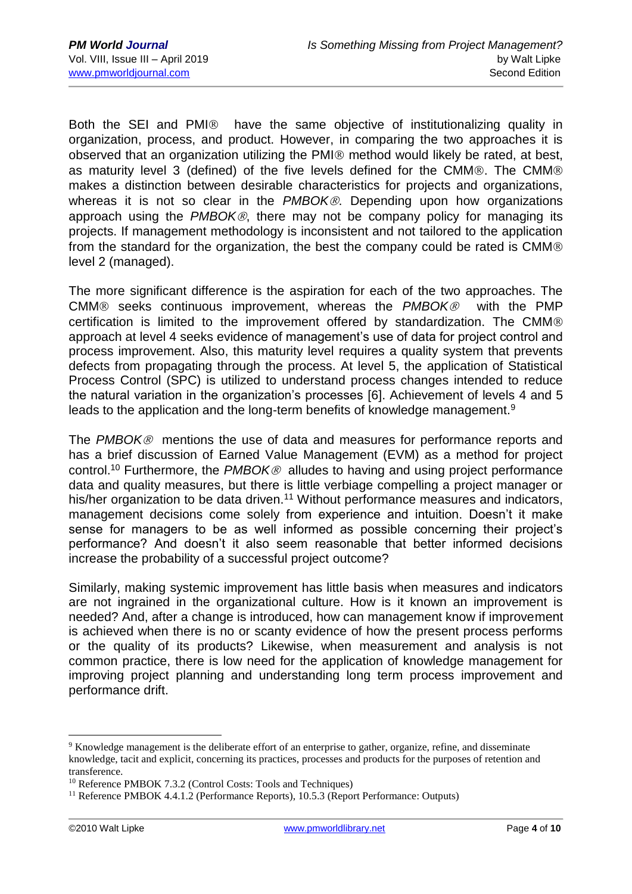Both the SEI and PMI<sup>®</sup> have the same objective of institutionalizing quality in organization, process, and product. However, in comparing the two approaches it is observed that an organization utilizing the PMI® method would likely be rated, at best, as maturity level 3 (defined) of the five levels defined for the CMM®. The CMM® makes a distinction between desirable characteristics for projects and organizations, whereas it is not so clear in the PMBOK<sup>®</sup>. Depending upon how organizations approach using the *PMBOK®*, there may not be company policy for managing its projects. If management methodology is inconsistent and not tailored to the application from the standard for the organization, the best the company could be rated is CMM® level 2 (managed).

The more significant difference is the aspiration for each of the two approaches. The CMM<sup>®</sup> seeks continuous improvement, whereas the *PMBOK*<sup>®</sup> with the PMP certification is limited to the improvement offered by standardization. The CMM approach at level 4 seeks evidence of management's use of data for project control and process improvement. Also, this maturity level requires a quality system that prevents defects from propagating through the process. At level 5, the application of Statistical Process Control (SPC) is utilized to understand process changes intended to reduce the natural variation in the organization's processes [6]. Achievement of levels 4 and 5 leads to the application and the long-term benefits of knowledge management.<sup>9</sup>

The *PMBOK* mentions the use of data and measures for performance reports and has a brief discussion of Earned Value Management (EVM) as a method for project control.<sup>10</sup> Furthermore, the *PMBOK* alludes to having and using project performance data and quality measures, but there is little verbiage compelling a project manager or his/her organization to be data driven.<sup>11</sup> Without performance measures and indicators, management decisions come solely from experience and intuition. Doesn't it make sense for managers to be as well informed as possible concerning their project's performance? And doesn't it also seem reasonable that better informed decisions increase the probability of a successful project outcome?

Similarly, making systemic improvement has little basis when measures and indicators are not ingrained in the organizational culture. How is it known an improvement is needed? And, after a change is introduced, how can management know if improvement is achieved when there is no or scanty evidence of how the present process performs or the quality of its products? Likewise, when measurement and analysis is not common practice, there is low need for the application of knowledge management for improving project planning and understanding long term process improvement and performance drift.

<sup>9</sup> Knowledge management is the deliberate effort of an enterprise to gather, organize, refine, and disseminate knowledge, tacit and explicit, concerning its practices, processes and products for the purposes of retention and transference.

<sup>10</sup> Reference PMBOK 7.3.2 (Control Costs: Tools and Techniques)

<sup>&</sup>lt;sup>11</sup> Reference PMBOK 4.4.1.2 (Performance Reports), 10.5.3 (Report Performance: Outputs)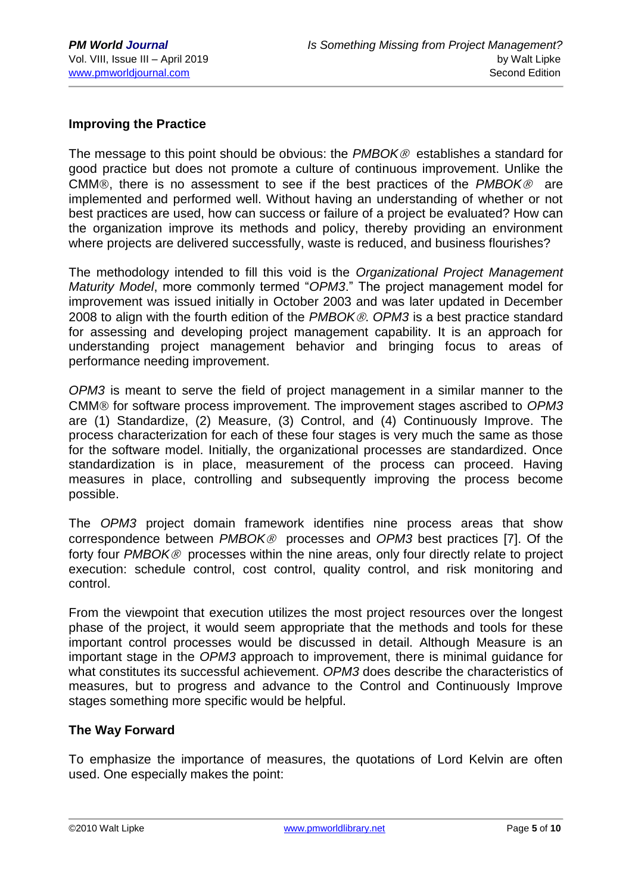## **Improving the Practice**

The message to this point should be obvious: the *PMBOK* establishes a standard for good practice but does not promote a culture of continuous improvement. Unlike the CMM®, there is no assessment to see if the best practices of the *PMBOK®* are implemented and performed well. Without having an understanding of whether or not best practices are used, how can success or failure of a project be evaluated? How can the organization improve its methods and policy, thereby providing an environment where projects are delivered successfully, waste is reduced, and business flourishes?

The methodology intended to fill this void is the *Organizational Project Management Maturity Model*, more commonly termed "*OPM3*." The project management model for improvement was issued initially in October 2003 and was later updated in December 2008 to align with the fourth edition of the *PMBOK*. *OPM3* is a best practice standard for assessing and developing project management capability. It is an approach for understanding project management behavior and bringing focus to areas of performance needing improvement.

*OPM3* is meant to serve the field of project management in a similar manner to the CMM<sup>®</sup> for software process improvement. The improvement stages ascribed to *OPM3* are (1) Standardize, (2) Measure, (3) Control, and (4) Continuously Improve. The process characterization for each of these four stages is very much the same as those for the software model. Initially, the organizational processes are standardized. Once standardization is in place, measurement of the process can proceed. Having measures in place, controlling and subsequently improving the process become possible.

The *OPM3* project domain framework identifies nine process areas that show correspondence between *PMBOK* processes and *OPM3* best practices [7]. Of the forty four *PMBOK<sup>®</sup>* processes within the nine areas, only four directly relate to project execution: schedule control, cost control, quality control, and risk monitoring and control.

From the viewpoint that execution utilizes the most project resources over the longest phase of the project, it would seem appropriate that the methods and tools for these important control processes would be discussed in detail. Although Measure is an important stage in the *OPM3* approach to improvement, there is minimal guidance for what constitutes its successful achievement. *OPM3* does describe the characteristics of measures, but to progress and advance to the Control and Continuously Improve stages something more specific would be helpful.

#### **The Way Forward**

To emphasize the importance of measures, the quotations of Lord Kelvin are often used. One especially makes the point: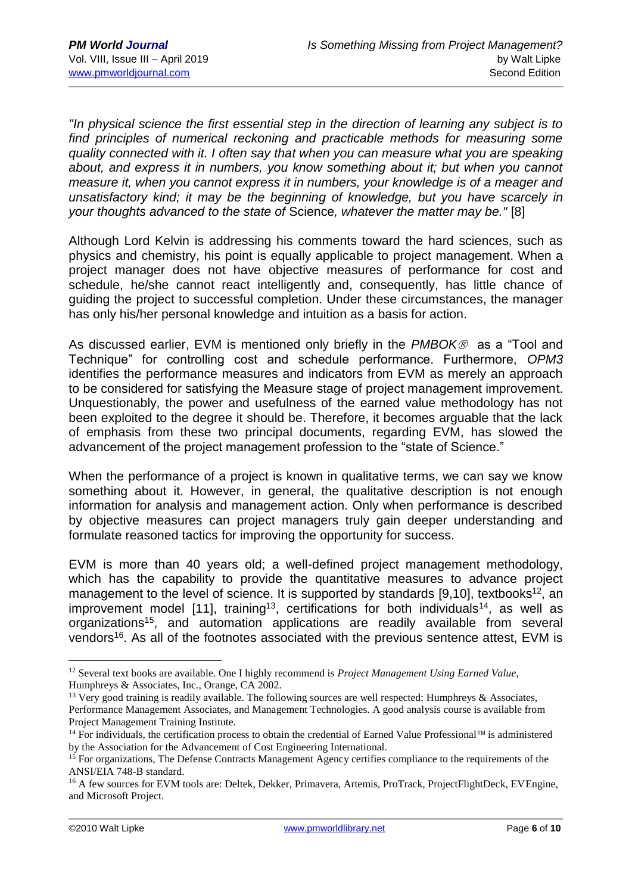*"In physical science the first essential step in the direction of learning any subject is to find principles of numerical reckoning and practicable methods for measuring some quality connected with it. I often say that when you can measure what you are speaking about, and express it in numbers, you know something about it; but when you cannot measure it, when you cannot express it in numbers, your knowledge is of a meager and unsatisfactory kind; it may be the beginning of knowledge, but you have scarcely in your thoughts advanced to the state of* Science*, whatever the matter may be."* [8]

Although Lord Kelvin is addressing his comments toward the hard sciences, such as physics and chemistry, his point is equally applicable to project management. When a project manager does not have objective measures of performance for cost and schedule, he/she cannot react intelligently and, consequently, has little chance of guiding the project to successful completion. Under these circumstances, the manager has only his/her personal knowledge and intuition as a basis for action.

As discussed earlier, EVM is mentioned only briefly in the *PMBOK®* as a "Tool and Technique" for controlling cost and schedule performance. Furthermore, *OPM3* identifies the performance measures and indicators from EVM as merely an approach to be considered for satisfying the Measure stage of project management improvement. Unquestionably, the power and usefulness of the earned value methodology has not been exploited to the degree it should be. Therefore, it becomes arguable that the lack of emphasis from these two principal documents, regarding EVM, has slowed the advancement of the project management profession to the "state of Science."

When the performance of a project is known in qualitative terms, we can say we know something about it. However, in general, the qualitative description is not enough information for analysis and management action. Only when performance is described by objective measures can project managers truly gain deeper understanding and formulate reasoned tactics for improving the opportunity for success.

EVM is more than 40 years old; a well-defined project management methodology, which has the capability to provide the quantitative measures to advance project management to the level of science. It is supported by standards [9,10], textbooks<sup>12</sup>, an improvement model [11], training<sup>13</sup>, certifications for both individuals<sup>14</sup>, as well as organizations<sup>15</sup>, and automation applications are readily available from several vendors<sup>16</sup>. As all of the footnotes associated with the previous sentence attest, EVM is

<u>.</u>

<sup>12</sup> Several text books are available. One I highly recommend is *Project Management Using Earned Value*, Humphreys & Associates, Inc., Orange, CA 2002.

<sup>&</sup>lt;sup>13</sup> Very good training is readily available. The following sources are well respected: Humphreys & Associates, Performance Management Associates, and Management Technologies. A good analysis course is available from Project Management Training Institute.

 $14$  For individuals, the certification process to obtain the credential of Earned Value Professional<sup>™</sup> is administered by the Association for the Advancement of Cost Engineering International.

<sup>&</sup>lt;sup>15</sup> For organizations, The Defense Contracts Management Agency certifies compliance to the requirements of the ANSI/EIA 748-B standard.

<sup>&</sup>lt;sup>16</sup> A few sources for EVM tools are: Deltek, Dekker, Primavera, Artemis, ProTrack, ProjectFlightDeck, EVEngine, and Microsoft Project.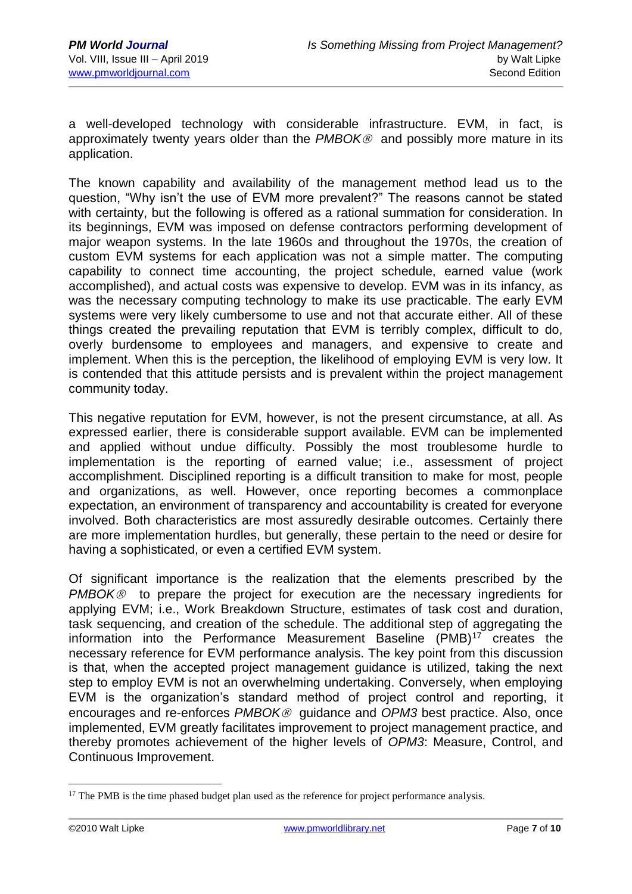a well-developed technology with considerable infrastructure. EVM, in fact, is approximately twenty years older than the *PMBOK®* and possibly more mature in its application.

The known capability and availability of the management method lead us to the question, "Why isn't the use of EVM more prevalent?" The reasons cannot be stated with certainty, but the following is offered as a rational summation for consideration. In its beginnings, EVM was imposed on defense contractors performing development of major weapon systems. In the late 1960s and throughout the 1970s, the creation of custom EVM systems for each application was not a simple matter. The computing capability to connect time accounting, the project schedule, earned value (work accomplished), and actual costs was expensive to develop. EVM was in its infancy, as was the necessary computing technology to make its use practicable. The early EVM systems were very likely cumbersome to use and not that accurate either. All of these things created the prevailing reputation that EVM is terribly complex, difficult to do, overly burdensome to employees and managers, and expensive to create and implement. When this is the perception, the likelihood of employing EVM is very low. It is contended that this attitude persists and is prevalent within the project management community today.

This negative reputation for EVM, however, is not the present circumstance, at all. As expressed earlier, there is considerable support available. EVM can be implemented and applied without undue difficulty. Possibly the most troublesome hurdle to implementation is the reporting of earned value; i.e., assessment of project accomplishment. Disciplined reporting is a difficult transition to make for most, people and organizations, as well. However, once reporting becomes a commonplace expectation, an environment of transparency and accountability is created for everyone involved. Both characteristics are most assuredly desirable outcomes. Certainly there are more implementation hurdles, but generally, these pertain to the need or desire for having a sophisticated, or even a certified EVM system.

Of significant importance is the realization that the elements prescribed by the *PMBOK<sup>®</sup>* to prepare the project for execution are the necessary ingredients for applying EVM; i.e., Work Breakdown Structure, estimates of task cost and duration, task sequencing, and creation of the schedule. The additional step of aggregating the information into the Performance Measurement Baseline (PMB)<sup>17</sup> creates the necessary reference for EVM performance analysis. The key point from this discussion is that, when the accepted project management guidance is utilized, taking the next step to employ EVM is not an overwhelming undertaking. Conversely, when employing EVM is the organization's standard method of project control and reporting, it encourages and re-enforces *PMBOK®* guidance and *OPM3* best practice. Also, once implemented, EVM greatly facilitates improvement to project management practice, and thereby promotes achievement of the higher levels of *OPM3*: Measure, Control, and Continuous Improvement.

 $17$  The PMB is the time phased budget plan used as the reference for project performance analysis.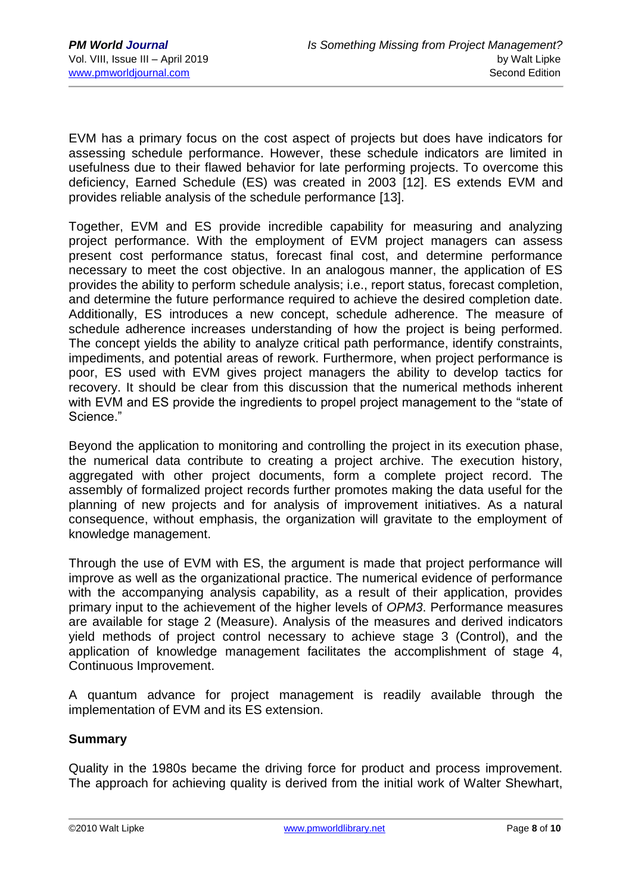EVM has a primary focus on the cost aspect of projects but does have indicators for assessing schedule performance. However, these schedule indicators are limited in usefulness due to their flawed behavior for late performing projects. To overcome this deficiency, Earned Schedule (ES) was created in 2003 [12]. ES extends EVM and provides reliable analysis of the schedule performance [13].

Together, EVM and ES provide incredible capability for measuring and analyzing project performance. With the employment of EVM project managers can assess present cost performance status, forecast final cost, and determine performance necessary to meet the cost objective. In an analogous manner, the application of ES provides the ability to perform schedule analysis; i.e., report status, forecast completion, and determine the future performance required to achieve the desired completion date. Additionally, ES introduces a new concept, schedule adherence. The measure of schedule adherence increases understanding of how the project is being performed. The concept yields the ability to analyze critical path performance, identify constraints, impediments, and potential areas of rework. Furthermore, when project performance is poor, ES used with EVM gives project managers the ability to develop tactics for recovery. It should be clear from this discussion that the numerical methods inherent with EVM and ES provide the ingredients to propel project management to the "state of Science."

Beyond the application to monitoring and controlling the project in its execution phase, the numerical data contribute to creating a project archive. The execution history, aggregated with other project documents, form a complete project record. The assembly of formalized project records further promotes making the data useful for the planning of new projects and for analysis of improvement initiatives. As a natural consequence, without emphasis, the organization will gravitate to the employment of knowledge management.

Through the use of EVM with ES, the argument is made that project performance will improve as well as the organizational practice. The numerical evidence of performance with the accompanying analysis capability, as a result of their application, provides primary input to the achievement of the higher levels of *OPM3*. Performance measures are available for stage 2 (Measure). Analysis of the measures and derived indicators yield methods of project control necessary to achieve stage 3 (Control), and the application of knowledge management facilitates the accomplishment of stage 4, Continuous Improvement.

A quantum advance for project management is readily available through the implementation of EVM and its ES extension.

# **Summary**

Quality in the 1980s became the driving force for product and process improvement. The approach for achieving quality is derived from the initial work of Walter Shewhart,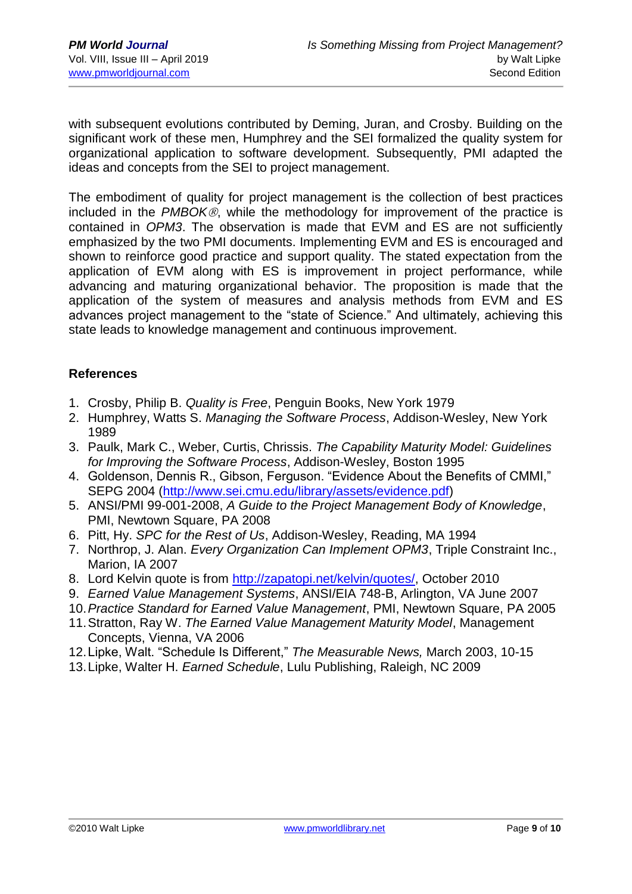with subsequent evolutions contributed by Deming, Juran, and Crosby. Building on the significant work of these men, Humphrey and the SEI formalized the quality system for organizational application to software development. Subsequently, PMI adapted the ideas and concepts from the SEI to project management.

The embodiment of quality for project management is the collection of best practices included in the *PMBOK*, while the methodology for improvement of the practice is contained in *OPM3*. The observation is made that EVM and ES are not sufficiently emphasized by the two PMI documents. Implementing EVM and ES is encouraged and shown to reinforce good practice and support quality. The stated expectation from the application of EVM along with ES is improvement in project performance, while advancing and maturing organizational behavior. The proposition is made that the application of the system of measures and analysis methods from EVM and ES advances project management to the "state of Science." And ultimately, achieving this state leads to knowledge management and continuous improvement.

## **References**

- 1. Crosby, Philip B. *Quality is Free*, Penguin Books, New York 1979
- 2. Humphrey, Watts S. *Managing the Software Process*, Addison-Wesley, New York 1989
- 3. Paulk, Mark C., Weber, Curtis, Chrissis. *The Capability Maturity Model: Guidelines for Improving the Software Process*, Addison-Wesley, Boston 1995
- 4. Goldenson, Dennis R., Gibson, Ferguson. "Evidence About the Benefits of CMMI," SEPG 2004 [\(http://www.sei.cmu.edu/library/assets/evidence.pdf\)](http://www.sei.cmu.edu/library/assets/evidence.pdf)
- 5. ANSI/PMI 99-001-2008, *A Guide to the Project Management Body of Knowledge*, PMI, Newtown Square, PA 2008
- 6. Pitt, Hy. *SPC for the Rest of Us*, Addison-Wesley, Reading, MA 1994
- 7. Northrop, J. Alan. *Every Organization Can Implement OPM3*, Triple Constraint Inc., Marion, IA 2007
- 8. Lord Kelvin quote is from [http://zapatopi.net/kelvin/quotes/,](http://zapatopi.net/kelvin/quotes/) October 2010
- 9. *Earned Value Management Systems*, ANSI/EIA 748-B, Arlington, VA June 2007
- 10.*Practice Standard for Earned Value Management*, PMI, Newtown Square, PA 2005
- 11.Stratton, Ray W. *The Earned Value Management Maturity Model*, Management Concepts, Vienna, VA 2006
- 12.Lipke, Walt. "Schedule Is Different," *The Measurable News,* March 2003, 10-15
- 13.Lipke, Walter H. *Earned Schedule*, Lulu Publishing, Raleigh, NC 2009